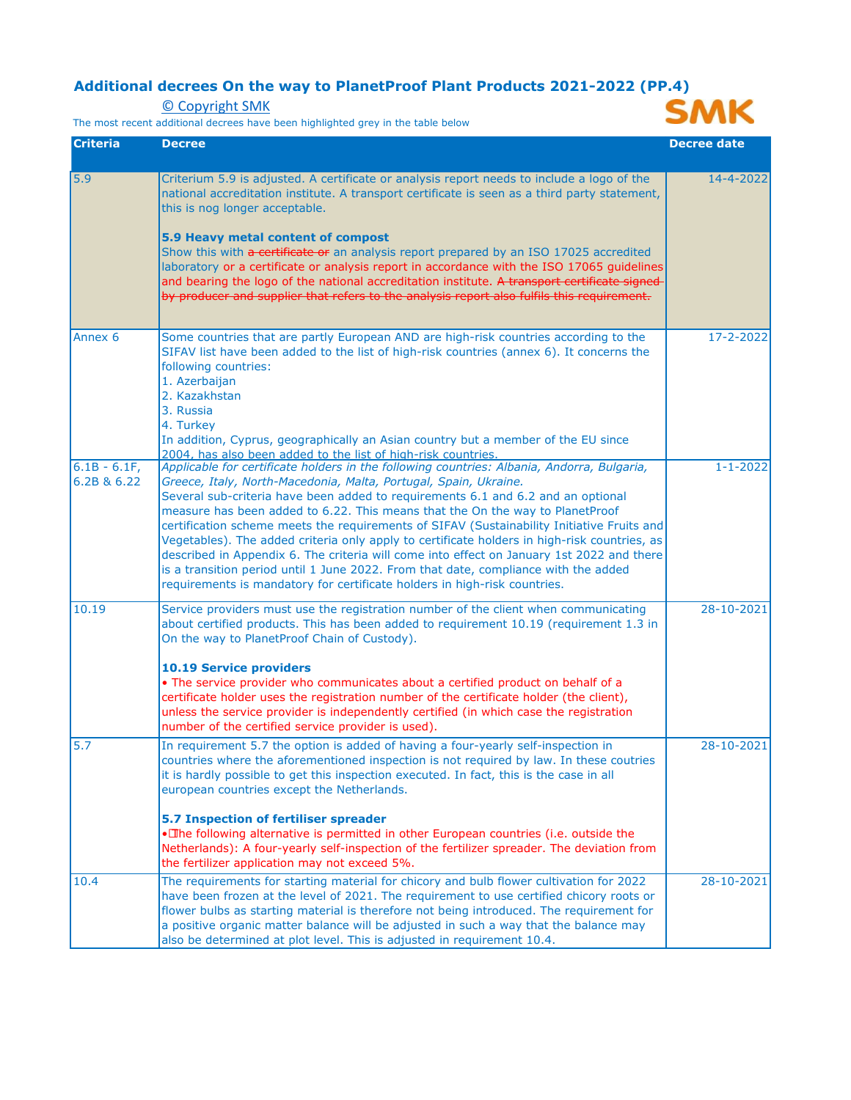## **Additional decrees On the way to PlanetProof Plant Products 2021-2022 (PP.4)**<br>
<u>© Copyright SMK</u><br>
The most recent additional decrees have been highlighted grev in the table below **SMK**

[© Copyright SMK](https://www.smk.nl/copyrights)

The most recent additional decrees have been highlighted grey in the table below



| <b>Criteria</b>              | <b>Decree</b>                                                                                                                                                                                                                                                                                                                                                                                                                                                                                                                                                                                                                                                                                                                                                                                      | <b>Decree date</b> |
|------------------------------|----------------------------------------------------------------------------------------------------------------------------------------------------------------------------------------------------------------------------------------------------------------------------------------------------------------------------------------------------------------------------------------------------------------------------------------------------------------------------------------------------------------------------------------------------------------------------------------------------------------------------------------------------------------------------------------------------------------------------------------------------------------------------------------------------|--------------------|
| 5.9                          | Criterium 5.9 is adjusted. A certificate or analysis report needs to include a logo of the<br>national accreditation institute. A transport certificate is seen as a third party statement,<br>this is nog longer acceptable.<br>5.9 Heavy metal content of compost<br>Show this with a certificate or an analysis report prepared by an ISO 17025 accredited<br>laboratory or a certificate or analysis report in accordance with the ISO 17065 guidelines<br>and bearing the logo of the national accreditation institute. A transport certificate signed-<br>by producer and supplier that refers to the analysis report also fulfils this requirement.                                                                                                                                         | 14-4-2022          |
| Annex <sub>6</sub>           | Some countries that are partly European AND are high-risk countries according to the<br>SIFAV list have been added to the list of high-risk countries (annex 6). It concerns the<br>following countries:<br>1. Azerbaijan<br>2. Kazakhstan<br>3. Russia<br>4. Turkey<br>In addition, Cyprus, geographically an Asian country but a member of the EU since<br>2004, has also been added to the list of high-risk countries.                                                                                                                                                                                                                                                                                                                                                                         | 17-2-2022          |
| $6.1B - 6.1F$<br>6.2B & 6.22 | Applicable for certificate holders in the following countries: Albania, Andorra, Bulgaria,<br>Greece, Italy, North-Macedonia, Malta, Portugal, Spain, Ukraine.<br>Several sub-criteria have been added to requirements 6.1 and 6.2 and an optional<br>measure has been added to 6.22. This means that the On the way to PlanetProof<br>certification scheme meets the requirements of SIFAV (Sustainability Initiative Fruits and<br>Vegetables). The added criteria only apply to certificate holders in high-risk countries, as<br>described in Appendix 6. The criteria will come into effect on January 1st 2022 and there<br>is a transition period until 1 June 2022. From that date, compliance with the added<br>requirements is mandatory for certificate holders in high-risk countries. | $1 - 1 - 2022$     |
| 10.19                        | Service providers must use the registration number of the client when communicating<br>about certified products. This has been added to requirement 10.19 (requirement 1.3 in<br>On the way to PlanetProof Chain of Custody).<br><b>10.19 Service providers</b><br>. The service provider who communicates about a certified product on behalf of a<br>certificate holder uses the registration number of the certificate holder (the client),<br>unless the service provider is independently certified (in which case the registration<br>number of the certified service provider is used).                                                                                                                                                                                                     | 28-10-2021         |
| 5.7                          | In requirement 5.7 the option is added of having a four-yearly self-inspection in<br>countries where the aforementioned inspection is not required by law. In these coutries<br>it is hardly possible to get this inspection executed. In fact, this is the case in all<br>european countries except the Netherlands.<br>5.7 Inspection of fertiliser spreader<br>· Ihe following alternative is permitted in other European countries (i.e. outside the<br>Netherlands): A four-yearly self-inspection of the fertilizer spreader. The deviation from<br>the fertilizer application may not exceed 5%.                                                                                                                                                                                            | 28-10-2021         |
| 10.4                         | The requirements for starting material for chicory and bulb flower cultivation for 2022<br>have been frozen at the level of 2021. The requirement to use certified chicory roots or<br>flower bulbs as starting material is therefore not being introduced. The requirement for<br>a positive organic matter balance will be adjusted in such a way that the balance may<br>also be determined at plot level. This is adjusted in requirement 10.4.                                                                                                                                                                                                                                                                                                                                                | 28-10-2021         |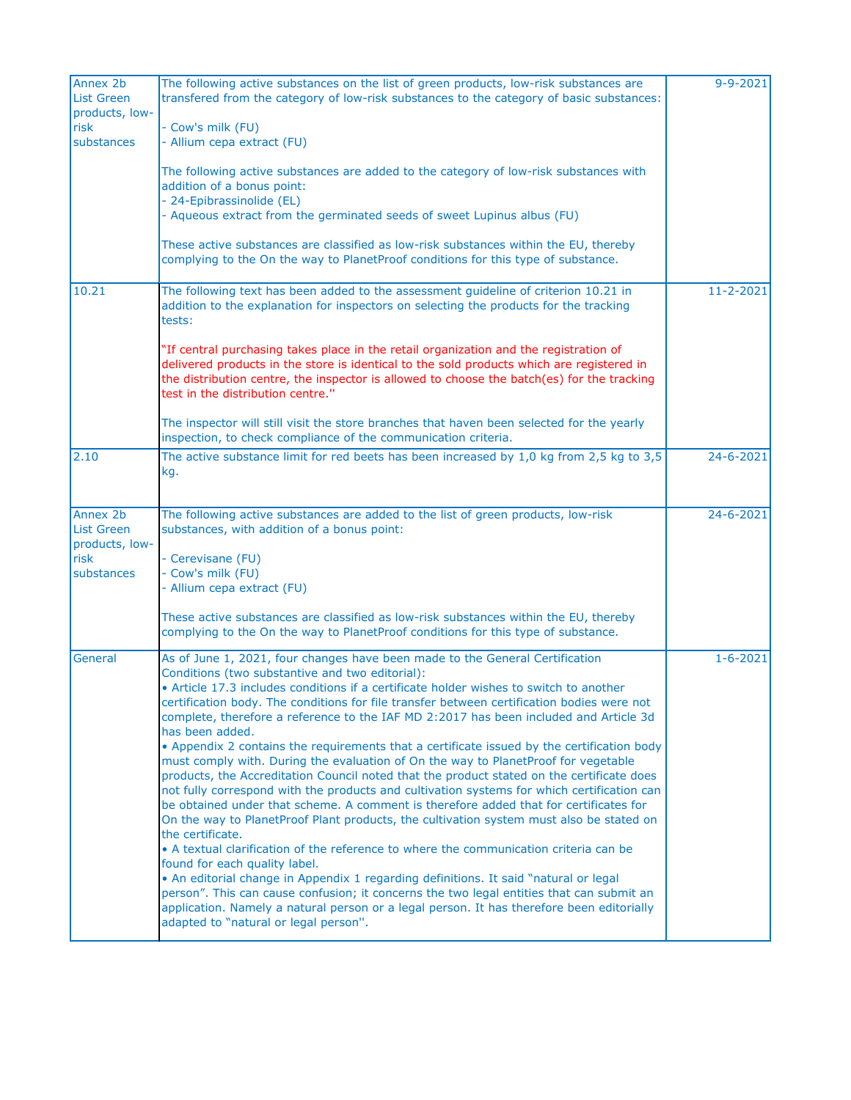| Annex 2b<br><b>List Green</b><br>products, low- | The following active substances on the list of green products, low-risk substances are<br>transfered from the category of low-risk substances to the category of basic substances:                                                                                                                                                                      | $9 - 9 - 2021$  |
|-------------------------------------------------|---------------------------------------------------------------------------------------------------------------------------------------------------------------------------------------------------------------------------------------------------------------------------------------------------------------------------------------------------------|-----------------|
| risk                                            | - Cow's milk (FU)                                                                                                                                                                                                                                                                                                                                       |                 |
| substances                                      | - Allium cepa extract (FU)                                                                                                                                                                                                                                                                                                                              |                 |
|                                                 | The following active substances are added to the category of low-risk substances with<br>addition of a bonus point:<br>- 24-Epibrassinolide (EL)                                                                                                                                                                                                        |                 |
|                                                 | - Aqueous extract from the germinated seeds of sweet Lupinus albus (FU)                                                                                                                                                                                                                                                                                 |                 |
|                                                 | These active substances are classified as low-risk substances within the EU, thereby<br>complying to the On the way to PlanetProof conditions for this type of substance.                                                                                                                                                                               |                 |
| 10.21                                           | The following text has been added to the assessment guideline of criterion 10.21 in<br>addition to the explanation for inspectors on selecting the products for the tracking<br>tests:                                                                                                                                                                  | $11 - 2 - 2021$ |
|                                                 | "If central purchasing takes place in the retail organization and the registration of<br>delivered products in the store is identical to the sold products which are registered in<br>the distribution centre, the inspector is allowed to choose the batch(es) for the tracking<br>test in the distribution centre."                                   |                 |
|                                                 | The inspector will still visit the store branches that haven been selected for the yearly<br>inspection, to check compliance of the communication criteria.                                                                                                                                                                                             |                 |
| 2.10                                            | The active substance limit for red beets has been increased by $1,0$ kg from 2,5 kg to 3,5<br>kg.                                                                                                                                                                                                                                                       | 24-6-2021       |
| Annex 2b<br><b>List Green</b><br>products, low- | The following active substances are added to the list of green products, low-risk<br>substances, with addition of a bonus point:                                                                                                                                                                                                                        | 24-6-2021       |
| risk                                            | - Cerevisane (FU)                                                                                                                                                                                                                                                                                                                                       |                 |
| substances                                      | - Cow's milk (FU)                                                                                                                                                                                                                                                                                                                                       |                 |
|                                                 | - Allium cepa extract (FU)                                                                                                                                                                                                                                                                                                                              |                 |
|                                                 | These active substances are classified as low-risk substances within the EU, thereby<br>complying to the On the way to PlanetProof conditions for this type of substance.                                                                                                                                                                               |                 |
| General                                         | As of June 1, 2021, four changes have been made to the General Certification<br>Conditions (two substantive and two editorial):                                                                                                                                                                                                                         | $1 - 6 - 2021$  |
|                                                 | • Article 17.3 includes conditions if a certificate holder wishes to switch to another<br>certification body. The conditions for file transfer between certification bodies were not                                                                                                                                                                    |                 |
|                                                 | complete, therefore a reference to the IAF MD 2:2017 has been included and Article 3d<br>has been added.                                                                                                                                                                                                                                                |                 |
|                                                 | • Appendix 2 contains the requirements that a certificate issued by the certification body<br>must comply with. During the evaluation of On the way to PlanetProof for vegetable                                                                                                                                                                        |                 |
|                                                 | products, the Accreditation Council noted that the product stated on the certificate does<br>not fully correspond with the products and cultivation systems for which certification can<br>be obtained under that scheme. A comment is therefore added that for certificates for                                                                        |                 |
|                                                 | On the way to PlanetProof Plant products, the cultivation system must also be stated on<br>the certificate.<br>• A textual clarification of the reference to where the communication criteria can be                                                                                                                                                    |                 |
|                                                 | found for each quality label.<br>• An editorial change in Appendix 1 regarding definitions. It said "natural or legal<br>person". This can cause confusion; it concerns the two legal entities that can submit an<br>application. Namely a natural person or a legal person. It has therefore been editorially<br>adapted to "natural or legal person". |                 |